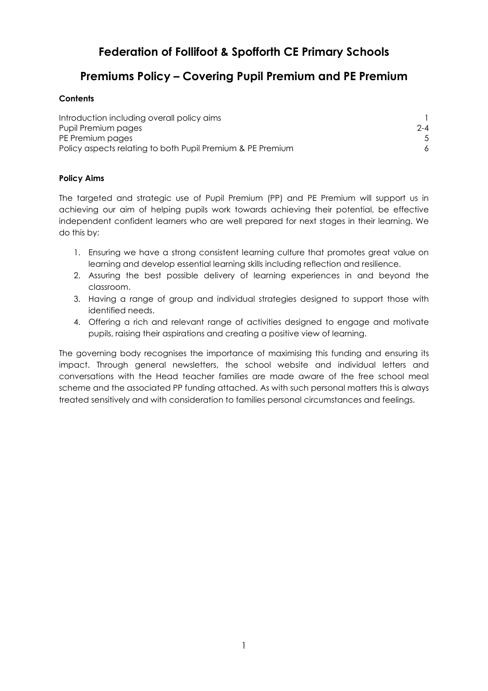# Federation of Follifoot & Spofforth CE Primary Schools

# Premiums Policy – Covering Pupil Premium and PE Premium

## **Contents**

| Introduction including overall policy aims                 |         |
|------------------------------------------------------------|---------|
| Pupil Premium pages                                        | $2 - 4$ |
| PE Premium pages                                           |         |
| Policy aspects relating to both Pupil Premium & PE Premium |         |

## Policy Aims

The targeted and strategic use of Pupil Premium (PP) and PE Premium will support us in achieving our aim of helping pupils work towards achieving their potential, be effective independent confident learners who are well prepared for next stages in their learning. We do this by:

- 1. Ensuring we have a strong consistent learning culture that promotes great value on learning and develop essential learning skills including reflection and resilience.
- 2. Assuring the best possible delivery of learning experiences in and beyond the classroom.
- 3. Having a range of group and individual strategies designed to support those with identified needs.
- 4. Offering a rich and relevant range of activities designed to engage and motivate pupils, raising their aspirations and creating a positive view of learning.

The governing body recognises the importance of maximising this funding and ensuring its impact. Through general newsletters, the school website and individual letters and conversations with the Head teacher families are made aware of the free school meal scheme and the associated PP funding attached. As with such personal matters this is always treated sensitively and with consideration to families personal circumstances and feelings.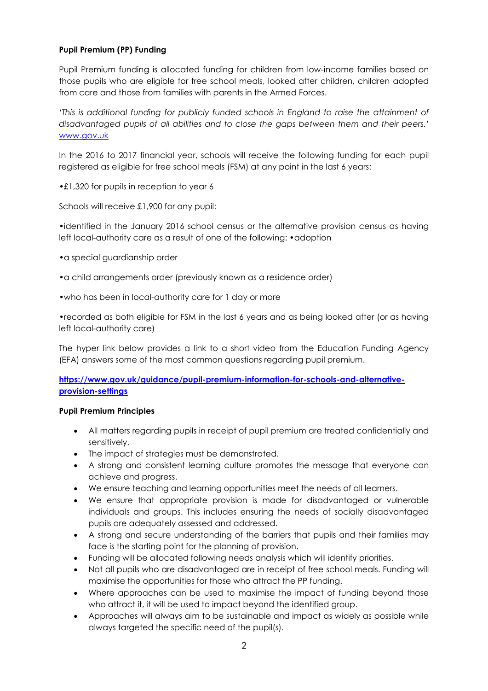## Pupil Premium (PP) Funding

Pupil Premium funding is allocated funding for children from low-income families based on those pupils who are eligible for free school meals, looked after children, children adopted from care and those from families with parents in the Armed Forces.

'This is additional funding for publicly funded schools in England to raise the attainment of disadvantaged pupils of all abilities and to close the gaps between them and their peers.' www.gov.uk

In the 2016 to 2017 financial year, schools will receive the following funding for each pupil registered as eligible for free school meals (FSM) at any point in the last 6 years:

•£1,320 for pupils in reception to year 6

Schools will receive £1,900 for any pupil:

•identified in the January 2016 school census or the alternative provision census as having left local-authority care as a result of one of the following: •adoption

•a special guardianship order

•a child arrangements order (previously known as a residence order)

•who has been in local-authority care for 1 day or more

•recorded as both eligible for FSM in the last 6 years and as being looked after (or as having left local-authority care)

The hyper link below provides a link to a short video from the Education Funding Agency (EFA) answers some of the most common questions regarding pupil premium.

https://www.gov.uk/guidance/pupil-premium-information-for-schools-and-alternativeprovision-settings

#### Pupil Premium Principles

- All matters regarding pupils in receipt of pupil premium are treated confidentially and sensitively.
- The impact of strategies must be demonstrated.
- A strong and consistent learning culture promotes the message that everyone can achieve and progress.
- We ensure teaching and learning opportunities meet the needs of all learners.
- We ensure that appropriate provision is made for disadvantaged or vulnerable individuals and groups. This includes ensuring the needs of socially disadvantaged pupils are adequately assessed and addressed.
- A strong and secure understanding of the barriers that pupils and their families may face is the starting point for the planning of provision.
- Funding will be allocated following needs analysis which will identify priorities.
- Not all pupils who are disadvantaged are in receipt of free school meals. Funding will maximise the opportunities for those who attract the PP funding.
- Where approaches can be used to maximise the impact of funding beyond those who attract it, it will be used to impact beyond the identified group.
- Approaches will always aim to be sustainable and impact as widely as possible while always targeted the specific need of the pupil(s).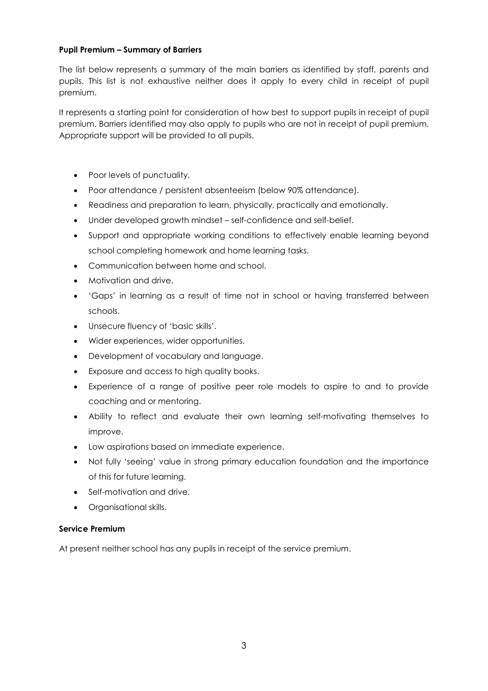#### Pupil Premium – Summary of Barriers

The list below represents a summary of the main barriers as identified by staff, parents and pupils. This list is not exhaustive neither does it apply to every child in receipt of pupil premium.

It represents a starting point for consideration of how best to support pupils in receipt of pupil premium. Barriers identified may also apply to pupils who are not in receipt of pupil premium. Appropriate support will be provided to all pupils.

- Poor levels of punctuality.
- Poor attendance / persistent absenteeism (below 90% attendance).
- Readiness and preparation to learn, physically, practically and emotionally.
- Under developed growth mindset self-confidence and self-belief.
- Support and appropriate working conditions to effectively enable learning beyond school completing homework and home learning tasks.
- Communication between home and school.
- Motivation and drive.
- 'Gaps' in learning as a result of time not in school or having transferred between schools.
- Unsecure fluency of 'basic skills'.
- Wider experiences, wider opportunities.
- Development of vocabulary and language.
- Exposure and access to high quality books.
- Experience of a range of positive peer role models to aspire to and to provide coaching and or mentoring.
- Ability to reflect and evaluate their own learning self-motivating themselves to improve.
- Low aspirations based on immediate experience.
- Not fully 'seeing' value in strong primary education foundation and the importance of this for future learning.
- Self-motivation and drive.
- Organisational skills.

## Service Premium

At present neither school has any pupils in receipt of the service premium.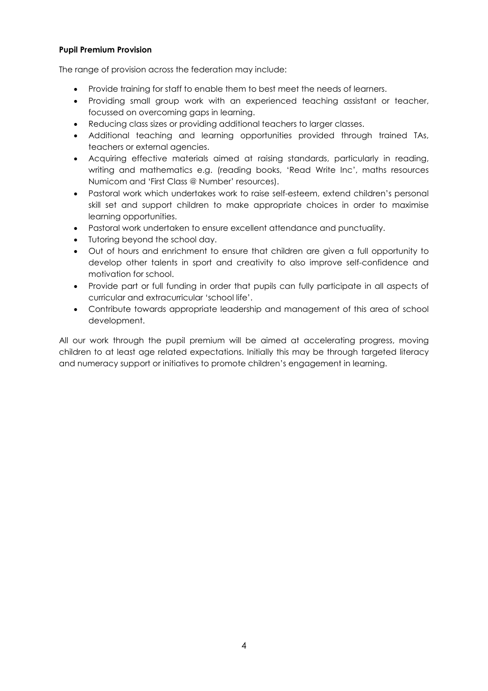#### Pupil Premium Provision

The range of provision across the federation may include:

- Provide training for staff to enable them to best meet the needs of learners.
- Providing small group work with an experienced teaching assistant or teacher, focussed on overcoming gaps in learning.
- Reducing class sizes or providing additional teachers to larger classes.
- Additional teaching and learning opportunities provided through trained TAs, teachers or external agencies.
- Acquiring effective materials aimed at raising standards, particularly in reading, writing and mathematics e.g. (reading books, 'Read Write Inc', maths resources Numicom and 'First Class @ Number' resources).
- Pastoral work which undertakes work to raise self-esteem, extend children's personal skill set and support children to make appropriate choices in order to maximise learning opportunities.
- Pastoral work undertaken to ensure excellent attendance and punctuality.
- Tutoring beyond the school day.
- Out of hours and enrichment to ensure that children are given a full opportunity to develop other talents in sport and creativity to also improve self-confidence and motivation for school.
- Provide part or full funding in order that pupils can fully participate in all aspects of curricular and extracurricular 'school life'.
- Contribute towards appropriate leadership and management of this area of school development.

All our work through the pupil premium will be aimed at accelerating progress, moving children to at least age related expectations. Initially this may be through targeted literacy and numeracy support or initiatives to promote children's engagement in learning.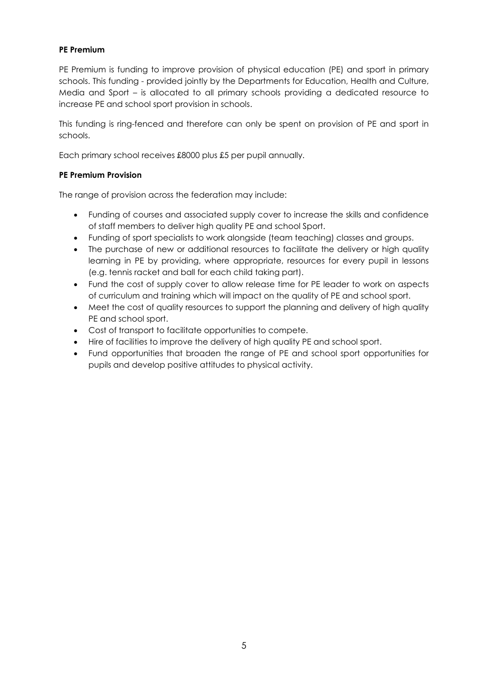## PE Premium

PE Premium is funding to improve provision of physical education (PE) and sport in primary schools. This funding - provided jointly by the Departments for Education, Health and Culture, Media and Sport – is allocated to all primary schools providing a dedicated resource to increase PE and school sport provision in schools.

This funding is ring-fenced and therefore can only be spent on provision of PE and sport in schools.

Each primary school receives £8000 plus £5 per pupil annually.

## PE Premium Provision

The range of provision across the federation may include:

- Funding of courses and associated supply cover to increase the skills and confidence of staff members to deliver high quality PE and school Sport.
- Funding of sport specialists to work alongside (team teaching) classes and groups.
- The purchase of new or additional resources to facilitate the delivery or high quality learning in PE by providing, where appropriate, resources for every pupil in lessons (e.g. tennis racket and ball for each child taking part).
- Fund the cost of supply cover to allow release time for PE leader to work on aspects of curriculum and training which will impact on the quality of PE and school sport.
- Meet the cost of quality resources to support the planning and delivery of high quality PE and school sport.
- Cost of transport to facilitate opportunities to compete.
- Hire of facilities to improve the delivery of high quality PE and school sport.
- Fund opportunities that broaden the range of PE and school sport opportunities for pupils and develop positive attitudes to physical activity.